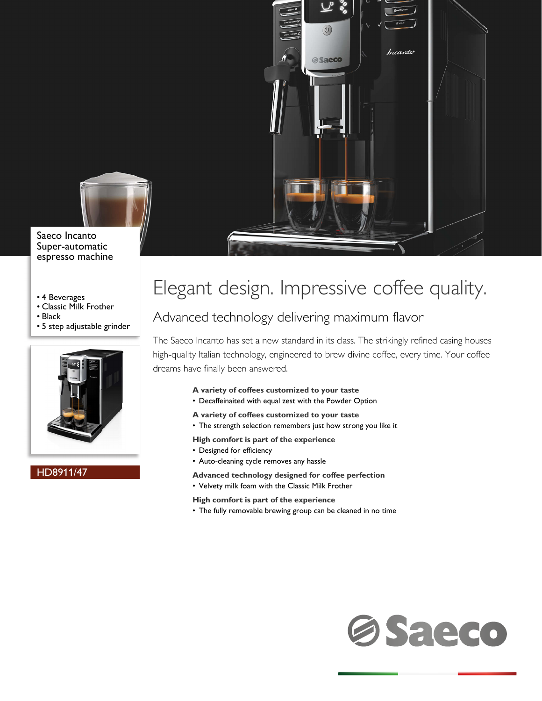

Saeco Incanto Super-automatic espresso machine

- 4 Beverages
- Classic Milk Frother
- Black
- 5 step adjustable grinder



### HD8911/47



 $\circled{0}$ 

**Saeco** 

Incanto

### Advanced technology delivering maximum flavor

The Saeco Incanto has set a new standard in its class. The strikingly refined casing houses high-quality Italian technology, engineered to brew divine coffee, every time. Your coffee dreams have finally been answered.

- **A variety of coffees customized to your taste**
- Decaffeinaited with equal zest with the Powder Option
- **A variety of coffees customized to your taste**
- The strength selection remembers just how strong you like it
- **High comfort is part of the experience**
- Designed for efficiency
- Auto-cleaning cycle removes any hassle
- **Advanced technology designed for coffee perfection**
- Velvety milk foam with the Classic Milk Frother
- **High comfort is part of the experience**
- The fully removable brewing group can be cleaned in no time

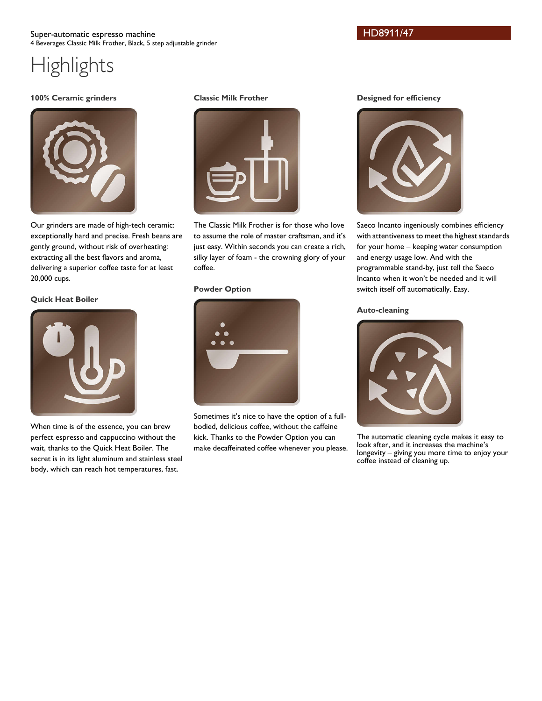### Super-automatic espresso machine 4 Beverages Classic Milk Frother, Black, 5 step adjustable grinder

# **Highlights**

### **100% Ceramic grinders**



Our grinders are made of high-tech ceramic: exceptionally hard and precise. Fresh beans are gently ground, without risk of overheating: extracting all the best flavors and aroma, delivering a superior coffee taste for at least 20,000 cups.

### **Quick Heat Boiler**



When time is of the essence, you can brew perfect espresso and cappuccino without the wait, thanks to the Quick Heat Boiler. The secret is in its light aluminum and stainless steel body, which can reach hot temperatures, fast.

### **Classic Milk Frother**



The Classic Milk Frother is for those who love to assume the role of master craftsman, and it's just easy. Within seconds you can create a rich, silky layer of foam - the crowning glory of your coffee.

### **Powder Option**



Sometimes it's nice to have the option of a fullbodied, delicious coffee, without the caffeine kick. Thanks to the Powder Option you can make decaffeinated coffee whenever you please.

### **Designed for efficiency**



Saeco Incanto ingeniously combines efficiency with attentiveness to meet the highest standards for your home – keeping water consumption and energy usage low. And with the programmable stand-by, just tell the Saeco Incanto when it won't be needed and it will switch itself off automatically. Easy.

### **Auto-cleaning**



The automatic cleaning cycle makes it easy to look after, and it increases the machine's longevity – giving you more time to enjoy your coffee instead of cleaning up.

HD8911/47